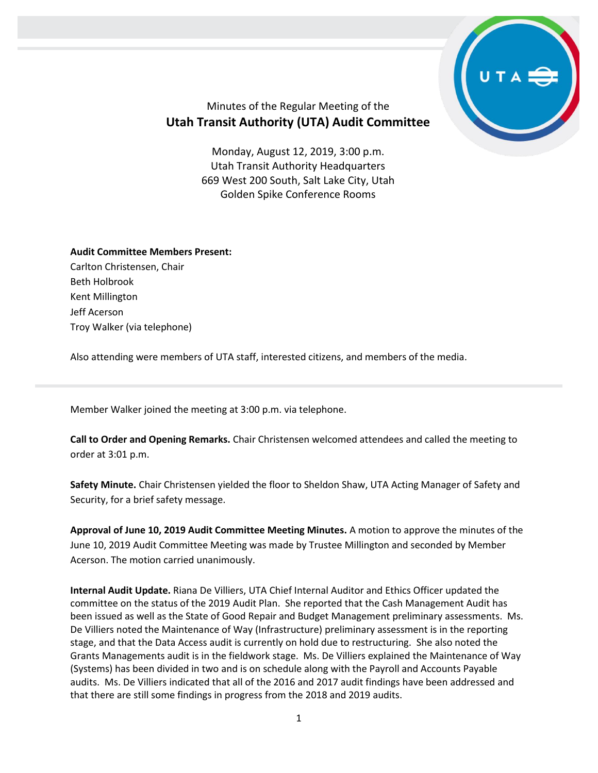

## Minutes of the Regular Meeting of the **Utah Transit Authority (UTA) Audit Committee**

Monday, August 12, 2019, 3:00 p.m. Utah Transit Authority Headquarters 669 West 200 South, Salt Lake City, Utah Golden Spike Conference Rooms

## **Audit Committee Members Present:**

Carlton Christensen, Chair Beth Holbrook Kent Millington Jeff Acerson Troy Walker (via telephone)

Also attending were members of UTA staff, interested citizens, and members of the media.

Member Walker joined the meeting at 3:00 p.m. via telephone.

**Call to Order and Opening Remarks.** Chair Christensen welcomed attendees and called the meeting to order at 3:01 p.m.

**Safety Minute.** Chair Christensen yielded the floor to Sheldon Shaw, UTA Acting Manager of Safety and Security, for a brief safety message.

**Approval of June 10, 2019 Audit Committee Meeting Minutes.** A motion to approve the minutes of the June 10, 2019 Audit Committee Meeting was made by Trustee Millington and seconded by Member Acerson. The motion carried unanimously.

**Internal Audit Update.** Riana De Villiers, UTA Chief Internal Auditor and Ethics Officer updated the committee on the status of the 2019 Audit Plan. She reported that the Cash Management Audit has been issued as well as the State of Good Repair and Budget Management preliminary assessments. Ms. De Villiers noted the Maintenance of Way (Infrastructure) preliminary assessment is in the reporting stage, and that the Data Access audit is currently on hold due to restructuring. She also noted the Grants Managements audit is in the fieldwork stage. Ms. De Villiers explained the Maintenance of Way (Systems) has been divided in two and is on schedule along with the Payroll and Accounts Payable audits. Ms. De Villiers indicated that all of the 2016 and 2017 audit findings have been addressed and that there are still some findings in progress from the 2018 and 2019 audits.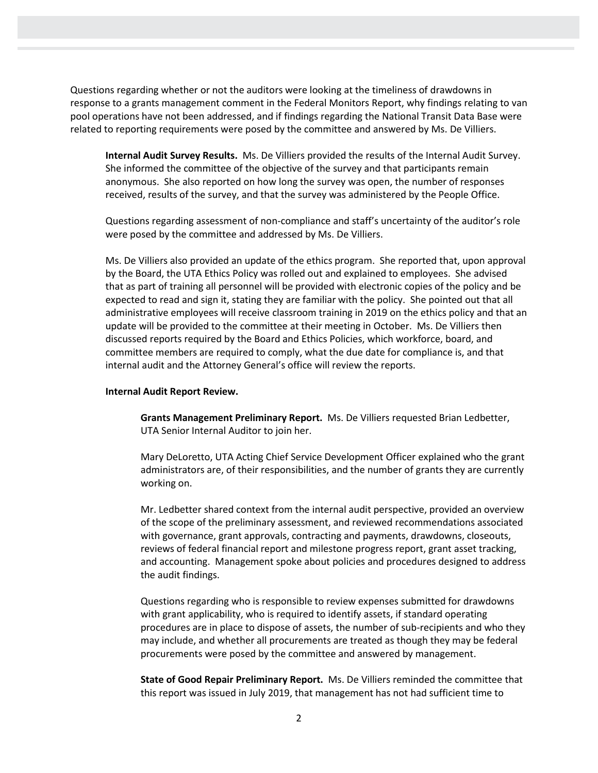Questions regarding whether or not the auditors were looking at the timeliness of drawdowns in response to a grants management comment in the Federal Monitors Report, why findings relating to van pool operations have not been addressed, and if findings regarding the National Transit Data Base were related to reporting requirements were posed by the committee and answered by Ms. De Villiers.

**Internal Audit Survey Results.** Ms. De Villiers provided the results of the Internal Audit Survey. She informed the committee of the objective of the survey and that participants remain anonymous. She also reported on how long the survey was open, the number of responses received, results of the survey, and that the survey was administered by the People Office.

Questions regarding assessment of non-compliance and staff's uncertainty of the auditor's role were posed by the committee and addressed by Ms. De Villiers.

Ms. De Villiers also provided an update of the ethics program. She reported that, upon approval by the Board, the UTA Ethics Policy was rolled out and explained to employees. She advised that as part of training all personnel will be provided with electronic copies of the policy and be expected to read and sign it, stating they are familiar with the policy. She pointed out that all administrative employees will receive classroom training in 2019 on the ethics policy and that an update will be provided to the committee at their meeting in October. Ms. De Villiers then discussed reports required by the Board and Ethics Policies, which workforce, board, and committee members are required to comply, what the due date for compliance is, and that internal audit and the Attorney General's office will review the reports.

## **Internal Audit Report Review.**

**Grants Management Preliminary Report.** Ms. De Villiers requested Brian Ledbetter, UTA Senior Internal Auditor to join her.

Mary DeLoretto, UTA Acting Chief Service Development Officer explained who the grant administrators are, of their responsibilities, and the number of grants they are currently working on.

Mr. Ledbetter shared context from the internal audit perspective, provided an overview of the scope of the preliminary assessment, and reviewed recommendations associated with governance, grant approvals, contracting and payments, drawdowns, closeouts, reviews of federal financial report and milestone progress report, grant asset tracking, and accounting. Management spoke about policies and procedures designed to address the audit findings.

Questions regarding who is responsible to review expenses submitted for drawdowns with grant applicability, who is required to identify assets, if standard operating procedures are in place to dispose of assets, the number of sub-recipients and who they may include, and whether all procurements are treated as though they may be federal procurements were posed by the committee and answered by management.

**State of Good Repair Preliminary Report.** Ms. De Villiers reminded the committee that this report was issued in July 2019, that management has not had sufficient time to